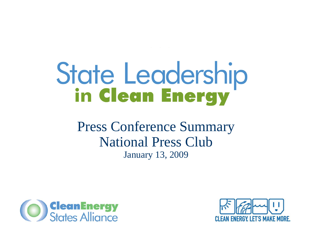# State Leadership<br>in **Clean Energy**

Press Conference Summary National Press ClubJanuary 13, 2009



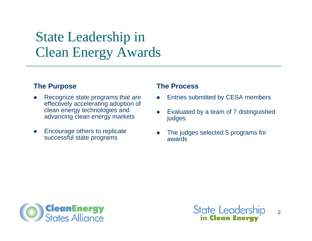## State Leadership in Clean Energy Awards

#### **The Purpose**

- $\bullet$  Recognize state programs that are effectively accelerating adoption of clean energy technologies and advancing clean energy markets
- $\bullet$  Encourage others to replicate successful state programs

#### **The Process**

- O Entries submitted by CESA members
- O Evaluated by a team of 7 distinguished judges
- O The judges selected 5 programs for awards





 $\overline{2}$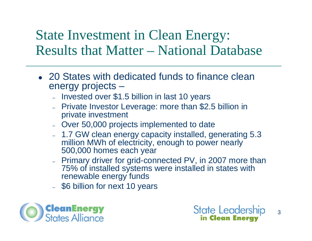## State Investment in Clean Energy: Results that Matter – National Database

- 20 States with dedicated funds to finance clean energy projects –
	- Invested over \$1.5 billion in last 10 years
	- Private Investor Leverage: more than \$2.5 billion in private investment
	- Over 50,000 projects implemented to date
	- 1.7 GW clean energy capacity installed, generating 5.3 million MWh of electricity, enough to power nearly 500,000 homes each year
	- Primary driver for grid-connected PV, in 2007 more than 75% of installed systems were installed in states with renewable energy funds
	- \$6 billion for next 10 years



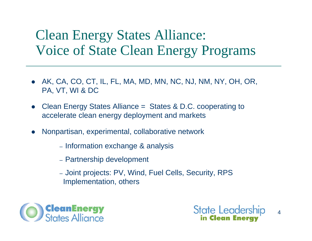# Clean Energy States Alliance: Voice of State Clean Energy Programs

- $\bullet$  AK, CA, CO, CT, IL, FL, MA, MD, MN, NC, NJ, NM, NY, OH, OR, PA, VT, WI & DC
- $\bullet$  Clean Energy States Alliance = States & D.C. cooperating to accelerate clean energy deployment and markets
- $\bullet$  Nonpartisan, experimental, collaborative network
	- Information exchange & analysis
	- Partnership development
	- Joint projects: PV, Wind, Fuel Cells, Security, RPS Implementation, others



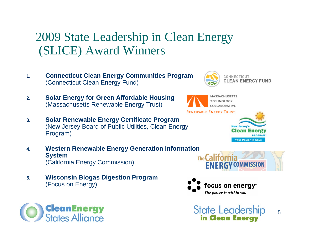#### 2009 State Leadership in Clean Energy (SLICE) Award Winners

- **1. Connecticut Clean Energy Communities Program** (Connecticut Clean Energy Fund)
- **2. Solar Energy for Green Affordable Housing** (Massachusetts Renewable Energy Trust)
- **3. Solar Renewable Energy Certificate Program** (New Jersey Board of Public Utilities, Clean Energy Program)
- **4. Western Renewable Energy Generation Information System** (California Energy Commission)
- **5. Wisconsin Biogas Digestion Program** (Focus on Energy)











COLLABORATIVE

5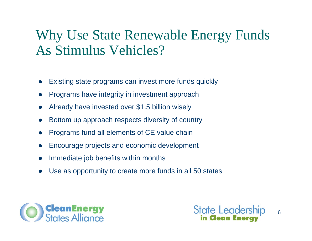## Why Use State Renewable Energy Funds As Stimulus Vehicles?

- $\bullet$ Existing state programs can invest more funds quickly
- $\bullet$ Programs have integrity in investment approach
- $\bullet$ Already have invested over \$1.5 billion wisely
- $\bullet$ Bottom up approach respects diversity of country
- $\bullet$ Programs fund all elements of CE value chain
- $\bullet$ Encourage projects and economic development
- $\bullet$ Immediate job benefits within months
- $\bullet$ Use as opportunity to create more funds in all 50 states



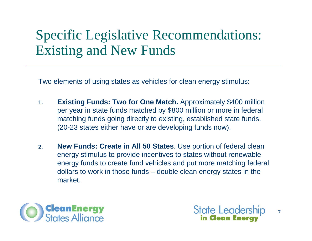# Specific Legislative Recommendations: Existing and New Funds

Two elements of using states as vehicles for clean energy stimulus:

- **1. Existing Funds: Two for One Match.** Approximately \$400 million per year in state funds matched by \$800 million or more in federal matching funds going directly to existing, established state funds. (20-23 states either have or are developing funds now).
- **2. New Funds: Create in All 50 States**. Use portion of federal clean energy stimulus to provide incentives to states without renewable energy funds to create fund vehicles and put more matching federal dollars to work in those funds – double clean energy states in the market.